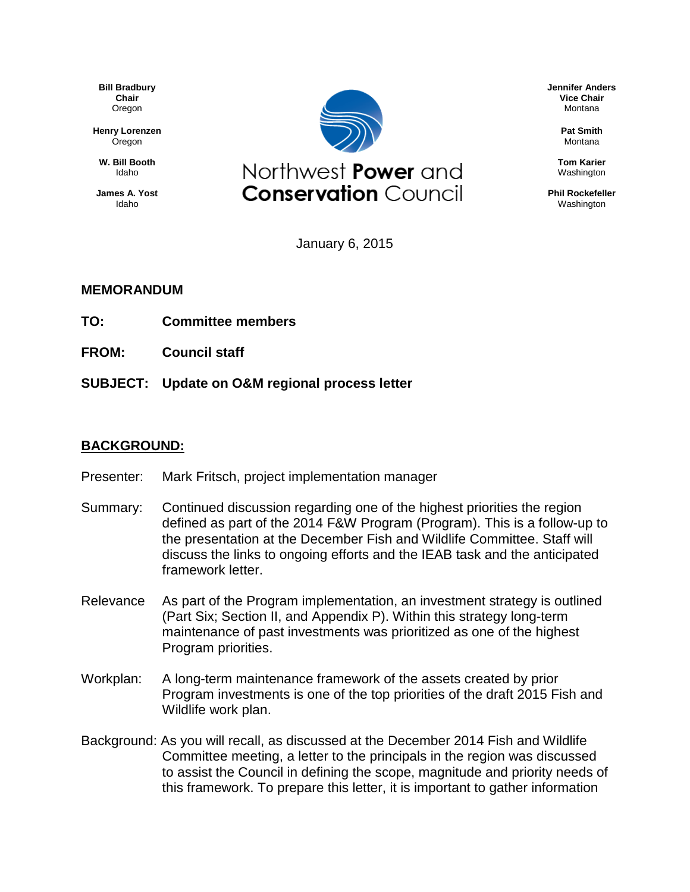**Bill Bradbury Chair** Oregon

**Henry Lorenzen** Oregon

**W. Bill Booth** Idaho

**James A. Yost** Idaho



January 6, 2015

## **MEMORANDUM**

- **TO: Committee members**
- **FROM: Council staff**
- **SUBJECT: Update on O&M regional process letter**

## **BACKGROUND:**

- Presenter: Mark Fritsch, project implementation manager
- Summary: Continued discussion regarding one of the highest priorities the region defined as part of the 2014 F&W Program (Program). This is a follow-up to the presentation at the December Fish and Wildlife Committee. Staff will discuss the links to ongoing efforts and the IEAB task and the anticipated framework letter.
- Relevance As part of the Program implementation, an investment strategy is outlined (Part Six; Section II, and Appendix P). Within this strategy long-term maintenance of past investments was prioritized as one of the highest Program priorities.
- Workplan: A long-term maintenance framework of the assets created by prior Program investments is one of the top priorities of the draft 2015 Fish and Wildlife work plan.
- Background: As you will recall, as discussed at the December 2014 Fish and Wildlife Committee meeting, a letter to the principals in the region was discussed to assist the Council in defining the scope, magnitude and priority needs of this framework. To prepare this letter, it is important to gather information

**Jennifer Anders Vice Chair** Montana

> **Pat Smith** Montana

**Tom Karier** Washington

**Phil Rockefeller** Washington